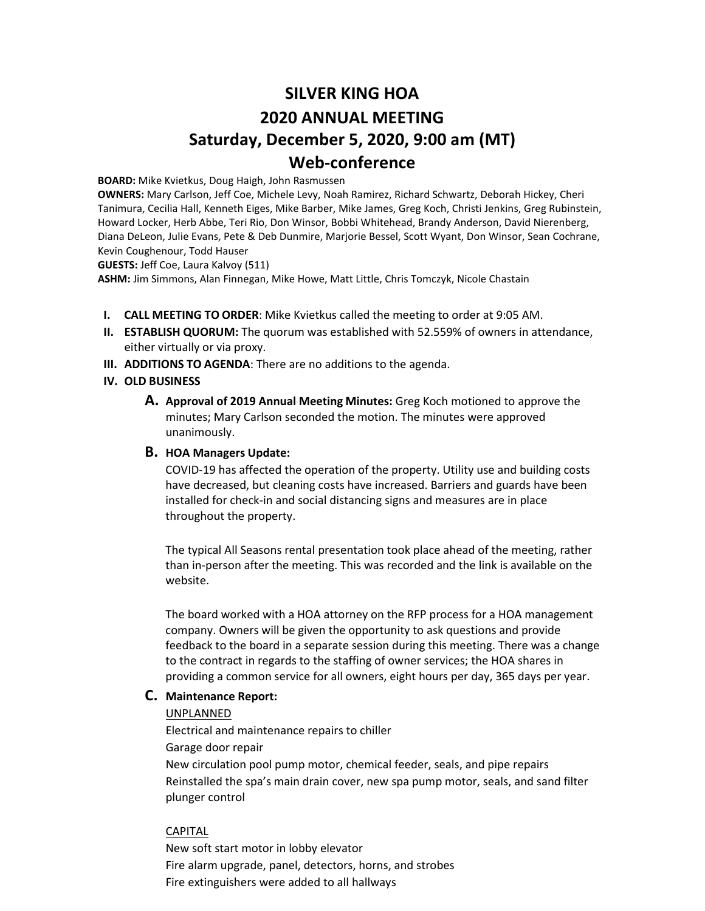# **SILVER KING HOA 2020 ANNUAL MEETING Saturday, December 5, 2020, 9:00 am (MT) Web-conference**

**BOARD:** Mike Kvietkus, Doug Haigh, John Rasmussen

**OWNERS:** Mary Carlson, Jeff Coe, Michele Levy, Noah Ramirez, Richard Schwartz, Deborah Hickey, Cheri Tanimura, Cecilia Hall, Kenneth Eiges, Mike Barber, Mike James, Greg Koch, Christi Jenkins, Greg Rubinstein, Howard Locker, Herb Abbe, Teri Rio, Don Winsor, Bobbi Whitehead, Brandy Anderson, David Nierenberg, Diana DeLeon, Julie Evans, Pete & Deb Dunmire, Marjorie Bessel, Scott Wyant, Don Winsor, Sean Cochrane, Kevin Coughenour, Todd Hauser

**GUESTS:** Jeff Coe, Laura Kalvoy (511)

**ASHM:** Jim Simmons, Alan Finnegan, Mike Howe, Matt Little, Chris Tomczyk, Nicole Chastain

- **I. CALL MEETING TO ORDER**: Mike Kvietkus called the meeting to order at 9:05 AM.
- **II. ESTABLISH QUORUM:** The quorum was established with 52.559% of owners in attendance, either virtually or via proxy.
- **III. ADDITIONS TO AGENDA**: There are no additions to the agenda.
- **IV. OLD BUSINESS**
	- **A. Approval of 2019 Annual Meeting Minutes:** Greg Koch motioned to approve the minutes; Mary Carlson seconded the motion. The minutes were approved unanimously.

### **B. HOA Managers Update:**

COVID-19 has affected the operation of the property. Utility use and building costs have decreased, but cleaning costs have increased. Barriers and guards have been installed for check-in and social distancing signs and measures are in place throughout the property.

The typical All Seasons rental presentation took place ahead of the meeting, rather than in-person after the meeting. This was recorded and the link is available on the website.

The board worked with a HOA attorney on the RFP process for a HOA management company. Owners will be given the opportunity to ask questions and provide feedback to the board in a separate session during this meeting. There was a change to the contract in regards to the staffing of owner services; the HOA shares in providing a common service for all owners, eight hours per day, 365 days per year.

## **C. Maintenance Report:**

#### UNPLANNED

Electrical and maintenance repairs to chiller

Garage door repair

New circulation pool pump motor, chemical feeder, seals, and pipe repairs Reinstalled the spa's main drain cover, new spa pump motor, seals, and sand filter plunger control

## CAPITAL

New soft start motor in lobby elevator Fire alarm upgrade, panel, detectors, horns, and strobes Fire extinguishers were added to all hallways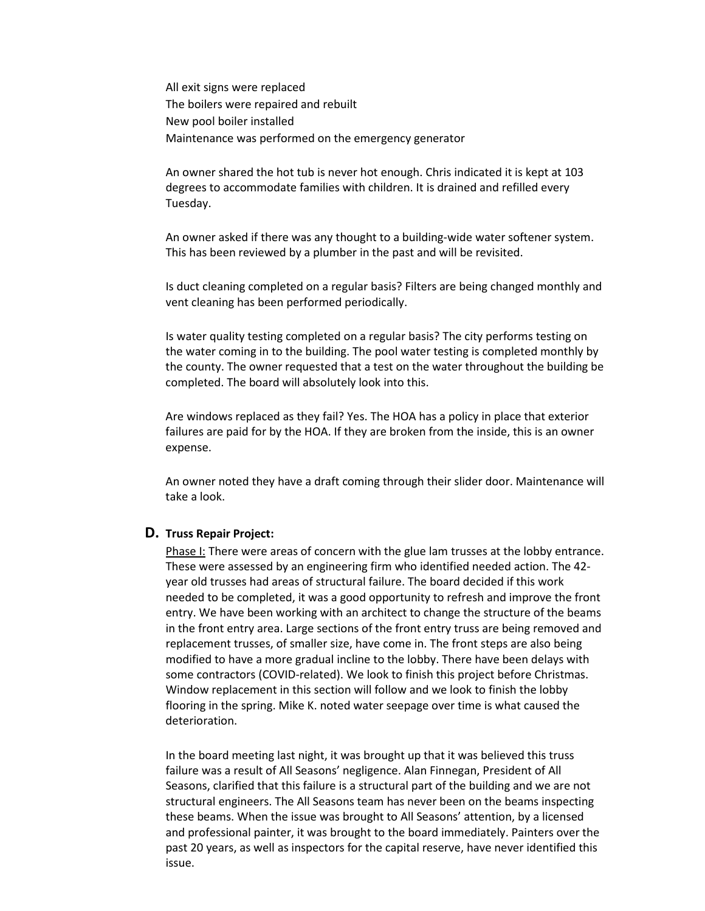All exit signs were replaced The boilers were repaired and rebuilt New pool boiler installed Maintenance was performed on the emergency generator

An owner shared the hot tub is never hot enough. Chris indicated it is kept at 103 degrees to accommodate families with children. It is drained and refilled every Tuesday.

An owner asked if there was any thought to a building-wide water softener system. This has been reviewed by a plumber in the past and will be revisited.

Is duct cleaning completed on a regular basis? Filters are being changed monthly and vent cleaning has been performed periodically.

Is water quality testing completed on a regular basis? The city performs testing on the water coming in to the building. The pool water testing is completed monthly by the county. The owner requested that a test on the water throughout the building be completed. The board will absolutely look into this.

Are windows replaced as they fail? Yes. The HOA has a policy in place that exterior failures are paid for by the HOA. If they are broken from the inside, this is an owner expense.

An owner noted they have a draft coming through their slider door. Maintenance will take a look.

#### **D. Truss Repair Project:**

Phase I: There were areas of concern with the glue lam trusses at the lobby entrance. These were assessed by an engineering firm who identified needed action. The 42 year old trusses had areas of structural failure. The board decided if this work needed to be completed, it was a good opportunity to refresh and improve the front entry. We have been working with an architect to change the structure of the beams in the front entry area. Large sections of the front entry truss are being removed and replacement trusses, of smaller size, have come in. The front steps are also being modified to have a more gradual incline to the lobby. There have been delays with some contractors (COVID-related). We look to finish this project before Christmas. Window replacement in this section will follow and we look to finish the lobby flooring in the spring. Mike K. noted water seepage over time is what caused the deterioration.

In the board meeting last night, it was brought up that it was believed this truss failure was a result of All Seasons' negligence. Alan Finnegan, President of All Seasons, clarified that this failure is a structural part of the building and we are not structural engineers. The All Seasons team has never been on the beams inspecting these beams. When the issue was brought to All Seasons' attention, by a licensed and professional painter, it was brought to the board immediately. Painters over the past 20 years, as well as inspectors for the capital reserve, have never identified this issue.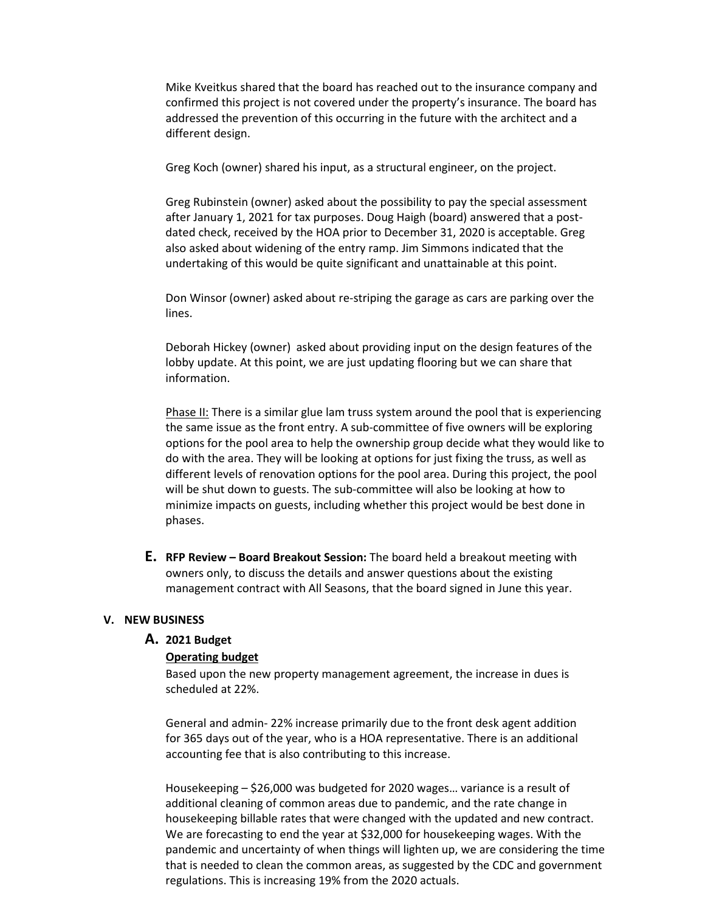Mike Kveitkus shared that the board has reached out to the insurance company and confirmed this project is not covered under the property's insurance. The board has addressed the prevention of this occurring in the future with the architect and a different design.

Greg Koch (owner) shared his input, as a structural engineer, on the project.

Greg Rubinstein (owner) asked about the possibility to pay the special assessment after January 1, 2021 for tax purposes. Doug Haigh (board) answered that a postdated check, received by the HOA prior to December 31, 2020 is acceptable. Greg also asked about widening of the entry ramp. Jim Simmons indicated that the undertaking of this would be quite significant and unattainable at this point.

Don Winsor (owner) asked about re-striping the garage as cars are parking over the lines.

Deborah Hickey (owner) asked about providing input on the design features of the lobby update. At this point, we are just updating flooring but we can share that information.

Phase II: There is a similar glue lam truss system around the pool that is experiencing the same issue as the front entry. A sub-committee of five owners will be exploring options for the pool area to help the ownership group decide what they would like to do with the area. They will be looking at options for just fixing the truss, as well as different levels of renovation options for the pool area. During this project, the pool will be shut down to guests. The sub-committee will also be looking at how to minimize impacts on guests, including whether this project would be best done in phases.

**E. RFP Review – Board Breakout Session:** The board held a breakout meeting with owners only, to discuss the details and answer questions about the existing management contract with All Seasons, that the board signed in June this year.

#### **V. NEW BUSINESS**

#### **A. 2021 Budget**

#### **Operating budget**

Based upon the new property management agreement, the increase in dues is scheduled at 22%.

General and admin- 22% increase primarily due to the front desk agent addition for 365 days out of the year, who is a HOA representative. There is an additional accounting fee that is also contributing to this increase.

Housekeeping – \$26,000 was budgeted for 2020 wages… variance is a result of additional cleaning of common areas due to pandemic, and the rate change in housekeeping billable rates that were changed with the updated and new contract. We are forecasting to end the year at \$32,000 for housekeeping wages. With the pandemic and uncertainty of when things will lighten up, we are considering the time that is needed to clean the common areas, as suggested by the CDC and government regulations. This is increasing 19% from the 2020 actuals.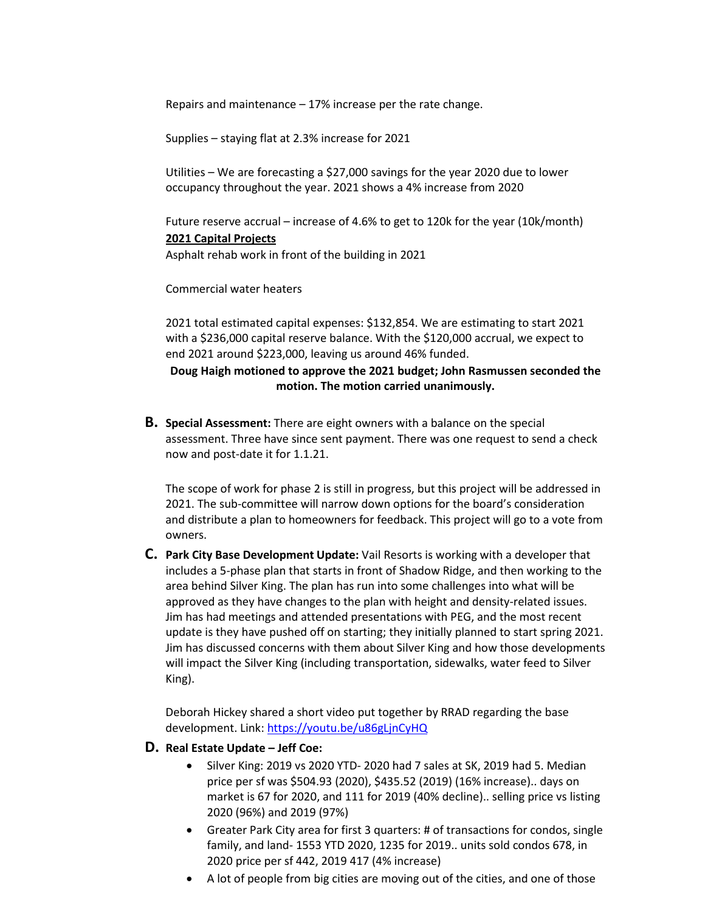Repairs and maintenance – 17% increase per the rate change.

Supplies – staying flat at 2.3% increase for 2021

Utilities – We are forecasting a \$27,000 savings for the year 2020 due to lower occupancy throughout the year. 2021 shows a 4% increase from 2020

Future reserve accrual – increase of 4.6% to get to 120k for the year (10k/month) **2021 Capital Projects**

Asphalt rehab work in front of the building in 2021

Commercial water heaters

2021 total estimated capital expenses: \$132,854. We are estimating to start 2021 with a \$236,000 capital reserve balance. With the \$120,000 accrual, we expect to end 2021 around \$223,000, leaving us around 46% funded.

## **Doug Haigh motioned to approve the 2021 budget; John Rasmussen seconded the motion. The motion carried unanimously.**

**B. Special Assessment:** There are eight owners with a balance on the special assessment. Three have since sent payment. There was one request to send a check now and post-date it for 1.1.21.

The scope of work for phase 2 is still in progress, but this project will be addressed in 2021. The sub-committee will narrow down options for the board's consideration and distribute a plan to homeowners for feedback. This project will go to a vote from owners.

**C. Park City Base Development Update:** Vail Resorts is working with a developer that includes a 5-phase plan that starts in front of Shadow Ridge, and then working to the area behind Silver King. The plan has run into some challenges into what will be approved as they have changes to the plan with height and density-related issues. Jim has had meetings and attended presentations with PEG, and the most recent update is they have pushed off on starting; they initially planned to start spring 2021. Jim has discussed concerns with them about Silver King and how those developments will impact the Silver King (including transportation, sidewalks, water feed to Silver King).

Deborah Hickey shared a short video put together by RRAD regarding the base development. Link: <https://youtu.be/u86gLjnCyHQ>

- **D. Real Estate Update – Jeff Coe:** 
	- Silver King: 2019 vs 2020 YTD- 2020 had 7 sales at SK, 2019 had 5. Median price per sf was \$504.93 (2020), \$435.52 (2019) (16% increase).. days on market is 67 for 2020, and 111 for 2019 (40% decline).. selling price vs listing 2020 (96%) and 2019 (97%)
	- Greater Park City area for first 3 quarters: # of transactions for condos, single family, and land- 1553 YTD 2020, 1235 for 2019.. units sold condos 678, in 2020 price per sf 442, 2019 417 (4% increase)
	- A lot of people from big cities are moving out of the cities, and one of those